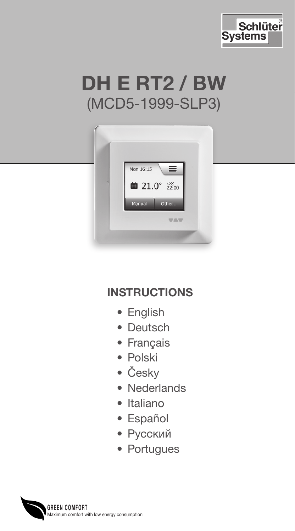





# **INSTRUCTIONS**

- English
- Deutsch
- Français
- Polski
- Česky
- Nederlands
- Italiano
- Español
- Русский
- Portugues

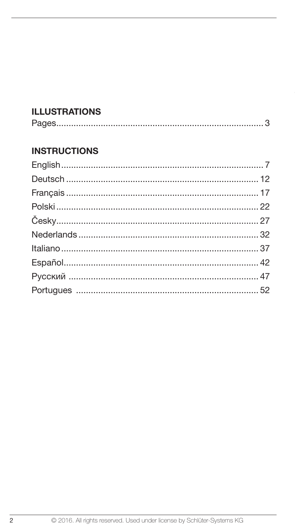# **ILLUSTRATIONS**

|--|

# **INSTRUCTIONS**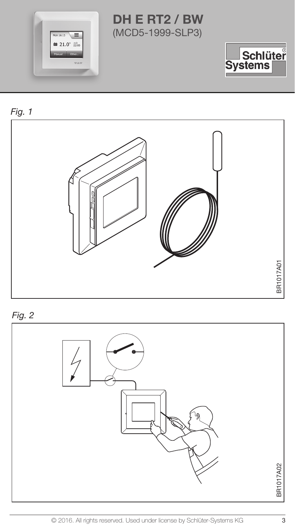







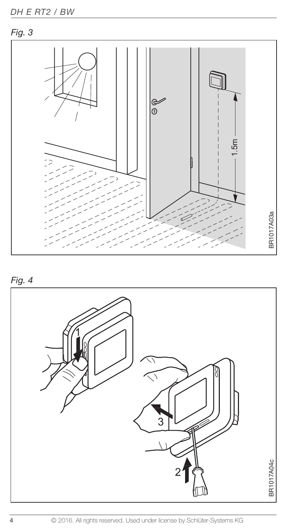



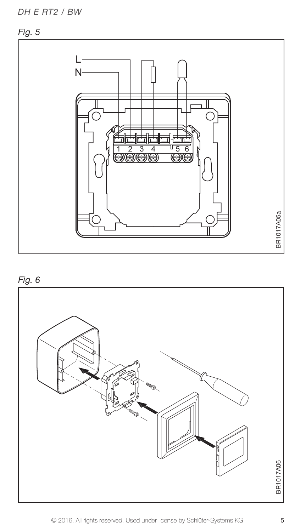

# Fig. 6

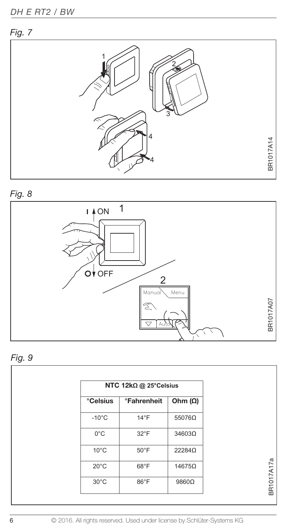









| NTC 12kΩ @ 25°Celsius |                                  |                |
|-----------------------|----------------------------------|----------------|
| <b>Celsius</b>        | <b><i><u>•Fahrenheit</u></i></b> | Ohm $(\Omega)$ |
| $-10^{\circ}$ C       | $14^{\circ}F$                    | 55076Ω         |
| $0^{\circ}$ C         | $32^{\circ}$ F                   | 34603Ω         |
| $10^{\circ}$ C        | $50^\circ F$                     | 22284Ω         |
| $20^{\circ}$ C        | 68°F                             | 14675Ω         |
| $30^{\circ}$ C        | 86°F                             | 9860Ω          |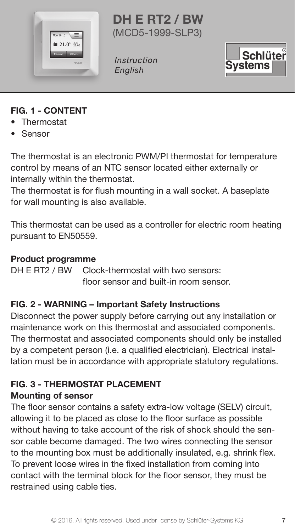

DH E RT2 / BW (MCD5-1999-SLP3)

Instruction English



# FIG. 1 - CONTENT

- Thermostat
- Sensor

The thermostat is an electronic PWM/PI thermostat for temperature control by means of an NTC sensor located either externally or internally within the thermostat.

The thermostat is for flush mounting in a wall socket. A baseplate for wall mounting is also available.

This thermostat can be used as a controller for electric room heating pursuant to EN50559.

#### Product programme

DH E RT2 / BW Clock-thermostat with two sensors: floor sensor and built-in room sensor.

#### FIG. 2 - WARNING – Important Safety Instructions

Disconnect the power supply before carrying out any installation or maintenance work on this thermostat and associated components. The thermostat and associated components should only be installed by a competent person (i.e. a qualified electrician). Electrical installation must be in accordance with appropriate statutory regulations.

#### FIG. 3 - THERMOSTAT PLACEMENT Mounting of sensor

The floor sensor contains a safety extra-low voltage (SELV) circuit, allowing it to be placed as close to the floor surface as possible without having to take account of the risk of shock should the sensor cable become damaged. The two wires connecting the sensor to the mounting box must be additionally insulated, e.g. shrink flex. To prevent loose wires in the fixed installation from coming into contact with the terminal block for the floor sensor, they must be restrained using cable ties.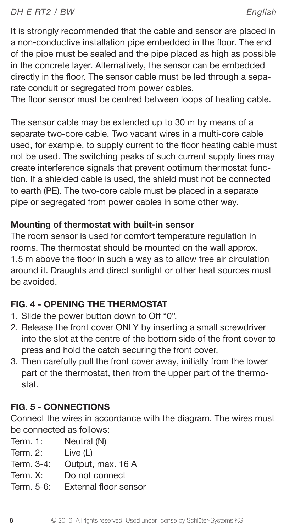It is strongly recommended that the cable and sensor are placed in a non-conductive installation pipe embedded in the floor. The end of the pipe must be sealed and the pipe placed as high as possible in the concrete layer. Alternatively, the sensor can be embedded directly in the floor. The sensor cable must be led through a separate conduit or segregated from power cables.

The floor sensor must be centred between loops of heating cable.

The sensor cable may be extended up to 30 m by means of a separate two-core cable. Two vacant wires in a multi-core cable used, for example, to supply current to the floor heating cable must not be used. The switching peaks of such current supply lines may create interference signals that prevent optimum thermostat function. If a shielded cable is used, the shield must not be connected to earth (PE). The two-core cable must be placed in a separate pipe or segregated from power cables in some other way.

# Mounting of thermostat with built-in sensor

The room sensor is used for comfort temperature regulation in rooms. The thermostat should be mounted on the wall approx. 1.5 m above the floor in such a way as to allow free air circulation around it. Draughts and direct sunlight or other heat sources must be avoided.

# FIG. 4 - OPENING THE THERMOSTAT

- 1. Slide the power button down to Off "0".
- 2. Release the front cover ONLY by inserting a small screwdriver into the slot at the centre of the bottom side of the front cover to press and hold the catch securing the front cover.
- 3. Then carefully pull the front cover away, initially from the lower part of the thermostat, then from the upper part of the thermostat.

# FIG. 5 - CONNECTIONS

Connect the wires in accordance with the diagram. The wires must be connected as follows:

Term. 1: Neutral (N)

Term. 2: Live (L)

Term. 3-4: Output, max. 16 A

Term. X: Do not connect

Term. 5-6: External floor sensor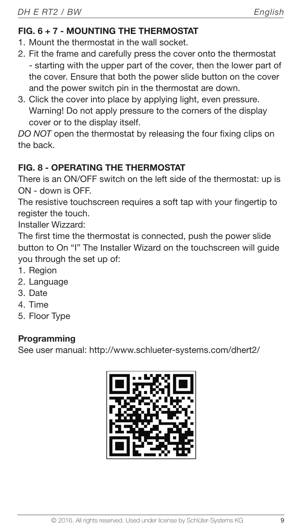# FIG. 6 + 7 - MOUNTING THE THERMOSTAT

- 1. Mount the thermostat in the wall socket.
- 2. Fit the frame and carefully press the cover onto the thermostat - starting with the upper part of the cover, then the lower part of the cover. Ensure that both the power slide button on the cover and the power switch pin in the thermostat are down.
- 3. Click the cover into place by applying light, even pressure. Warning! Do not apply pressure to the corners of the display cover or to the display itself.

DO NOT open the thermostat by releasing the four fixing clips on the back.

# FIG. 8 - OPERATING THE THERMOSTAT

There is an ON/OFF switch on the left side of the thermostat: up is ON - down is OFF.

The resistive touchscreen requires a soft tap with your fingertip to register the touch.

Installer Wizzard:

The first time the thermostat is connected, push the power slide button to On "I" The Installer Wizard on the touchscreen will guide you through the set up of:

- 1. Region
- 2. Language
- 3. Date
- 4. Time
- 5. Floor Type

# **Programming**

See user manual: http://www.schlueter-systems.com/dhert2/

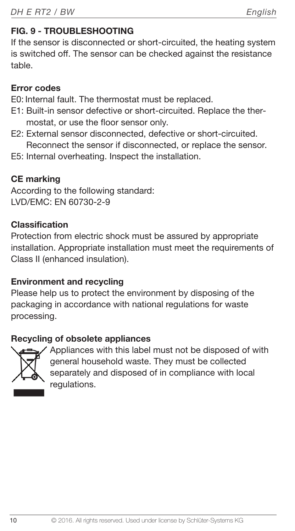# FIG. 9 - TROUBLESHOOTING

If the sensor is disconnected or short-circuited, the heating system is switched off. The sensor can be checked against the resistance table.

# Error codes

E0: Internal fault. The thermostat must be replaced.

- E1: Built-in sensor defective or short-circuited. Replace the thermostat, or use the floor sensor only.
- E2: External sensor disconnected, defective or short-circuited. Reconnect the sensor if disconnected, or replace the sensor.
- E5: Internal overheating. Inspect the installation.

# CE marking

According to the following standard: LVD/EMC: EN 60730-2-9

# Classification

Protection from electric shock must be assured by appropriate installation. Appropriate installation must meet the requirements of Class II (enhanced insulation).

# Environment and recycling

Please help us to protect the environment by disposing of the packaging in accordance with national regulations for waste processing.

# Recycling of obsolete appliances



Appliances with this label must not be disposed of with general household waste. They must be collected separately and disposed of in compliance with local regulations.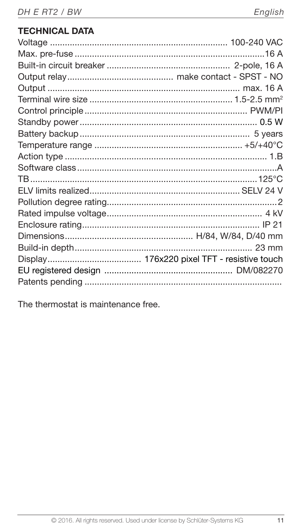# **TECHNICAL DATA**

| $23 \text{ mm}$ |
|-----------------|
|                 |
|                 |
|                 |

The thermostat is maintenance free.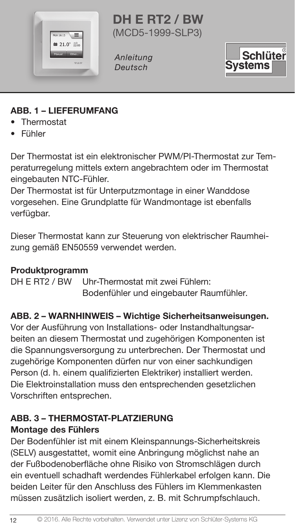

DH E RT2 / BW (MCD5-1999-SLP3)

Anleitung Deutsch



# ABB. 1 – LIEFERUMFANG

- Thermostat
- Fühler

Der Thermostat ist ein elektronischer PWM/PI-Thermostat zur Temperaturregelung mittels extern angebrachtem oder im Thermostat eingebauten NTC-Fühler.

Der Thermostat ist für Unterputzmontage in einer Wanddose vorgesehen. Eine Grundplatte für Wandmontage ist ebenfalls verfügbar.

Dieser Thermostat kann zur Steuerung von elektrischer Raumheizung gemäß EN50559 verwendet werden.

# **Produktprogramm**<br>DH E RT2 / BW U

Uhr-Thermostat mit zwei Fühlern: Bodenfühler und eingebauter Raumfühler.

# ABB. 2 – WARNHINWEIS – Wichtige Sicherheitsanweisungen.

Vor der Ausführung von Installations- oder Instandhaltungsarbeiten an diesem Thermostat und zugehörigen Komponenten ist die Spannungsversorgung zu unterbrechen. Der Thermostat und zugehörige Komponenten dürfen nur von einer sachkundigen Person (d. h. einem qualifizierten Elektriker) installiert werden. Die Elektroinstallation muss den entsprechenden gesetzlichen Vorschriften entsprechen.

# ABB. 3 – THERMOSTAT-PLATZIERUNG

# Montage des Fühlers

Der Bodenfühler ist mit einem Kleinspannungs-Sicherheitskreis (SELV) ausgestattet, womit eine Anbringung möglichst nahe an der Fußbodenoberfläche ohne Risiko von Stromschlägen durch ein eventuell schadhaft werdendes Fühlerkabel erfolgen kann. Die beiden Leiter für den Anschluss des Fühlers im Klemmenkasten müssen zusätzlich isoliert werden, z. B. mit Schrumpfschlauch.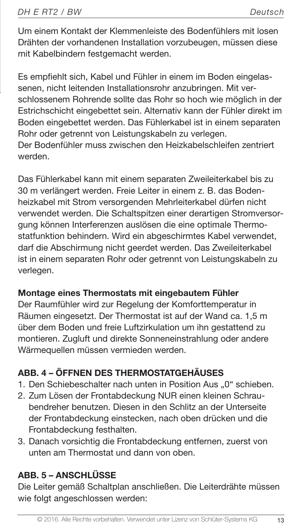Um einem Kontakt der Klemmenleiste des Bodenfühlers mit losen Drähten der vorhandenen Installation vorzubeugen, müssen diese mit Kabelbindern festgemacht werden.

Es empfiehlt sich, Kabel und Fühler in einem im Boden eingelassenen, nicht leitenden Installationsrohr anzubringen. Mit verschlossenem Rohrende sollte das Rohr so hoch wie möglich in der Estrichschicht eingebettet sein. Alternativ kann der Fühler direkt im Boden eingebettet werden. Das Fühlerkabel ist in einem separaten Rohr oder getrennt von Leistungskabeln zu verlegen. Der Bodenfühler muss zwischen den Heizkabelschleifen zentriert werden.

Das Fühlerkabel kann mit einem separaten Zweileiterkabel bis zu 30 m verlängert werden. Freie Leiter in einem z. B. das Bodenheizkabel mit Strom versorgenden Mehrleiterkabel dürfen nicht verwendet werden. Die Schaltspitzen einer derartigen Stromversorgung können Interferenzen auslösen die eine optimale Thermostatfunktion behindern. Wird ein abgeschirmtes Kabel verwendet, darf die Abschirmung nicht geerdet werden. Das Zweileiterkabel ist in einem separaten Rohr oder getrennt von Leistungskabeln zu verlegen.

#### Montage eines Thermostats mit eingebautem Fühler

Der Raumfühler wird zur Regelung der Komforttemperatur in Räumen eingesetzt. Der Thermostat ist auf der Wand ca. 1,5 m über dem Boden und freie Luftzirkulation um ihn gestattend zu montieren. Zugluft und direkte Sonneneinstrahlung oder andere Wärmequellen müssen vermieden werden.

# ABB. 4 – ÖFFNEN DES THERMOSTATGEHÄUSES

- 1. Den Schiebeschalter nach unten in Position Aus "0" schieben.
- 2. Zum Lösen der Frontabdeckung NUR einen kleinen Schraubendreher benutzen. Diesen in den Schlitz an der Unterseite der Frontabdeckung einstecken, nach oben drücken und die Frontabdeckung festhalten.
- 3. Danach vorsichtig die Frontabdeckung entfernen, zuerst von unten am Thermostat und dann von oben.

# ABB. 5 – ANSCHLÜSSE

Die Leiter gemäß Schaltplan anschließen. Die Leiterdrähte müssen wie folgt angeschlossen werden: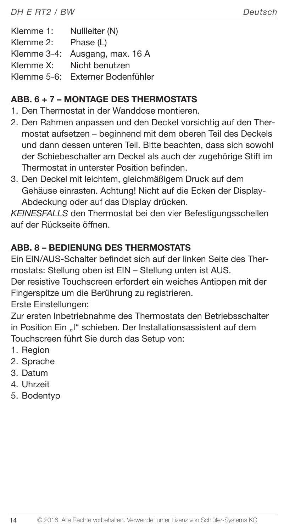Klemme 1: Nullleiter (N) Klemme 2: Phase (L) Klemme 3-4: Ausgang, max. 16 A Klemme X: Nicht benutzen Klemme 5-6: Externer Bodenfühler

# ABB. 6 + 7 – MONTAGE DES THERMOSTATS

- 1. Den Thermostat in der Wanddose montieren.
- 2. Den Rahmen anpassen und den Deckel vorsichtig auf den Thermostat aufsetzen – beginnend mit dem oberen Teil des Deckels und dann dessen unteren Teil. Bitte beachten, dass sich sowohl der Schiebeschalter am Deckel als auch der zugehörige Stift im Thermostat in unterster Position befinden.
- 3. Den Deckel mit leichtem, gleichmäßigem Druck auf dem Gehäuse einrasten. Achtung! Nicht auf die Ecken der Display-Abdeckung oder auf das Display drücken.

KEINESFALLS den Thermostat bei den vier Befestigungsschellen auf der Rückseite öffnen.

# ABB. 8 – BEDIENUNG DES THERMOSTATS

Ein EIN/AUS-Schalter befindet sich auf der linken Seite des Thermostats: Stellung oben ist EIN – Stellung unten ist AUS.

Der resistive Touchscreen erfordert ein weiches Antippen mit der Fingerspitze um die Berührung zu registrieren.

Erste Einstellungen:

Zur ersten Inbetriebnahme des Thermostats den Betriebsschalter in Position Ein "I" schieben. Der Installationsassistent auf dem Touchscreen führt Sie durch das Setup von:

- 1. Region
- 2. Sprache
- 3. Datum
- 4. Uhrzeit
- 5. Bodentyp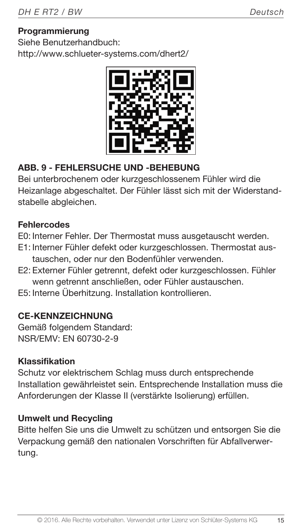# Programmierung

Siehe Benutzerhandbuch: http://www.schlueter-systems.com/dhert2/



# ABB. 9 - FEHLERSUCHE UND -BEHEBUNG

Bei unterbrochenem oder kurzgeschlossenem Fühler wird die Heizanlage abgeschaltet. Der Fühler lässt sich mit der Widerstandstabelle abgleichen.

#### **Fehlercodes**

- E0: Interner Fehler. Der Thermostat muss ausgetauscht werden.
- E1: Interner Fühler defekt oder kurzgeschlossen. Thermostat austauschen, oder nur den Bodenfühler verwenden.
- E2: Externer Fühler getrennt, defekt oder kurzgeschlossen. Fühler wenn getrennt anschließen, oder Fühler austauschen.
- E5: Interne Überhitzung. Installation kontrollieren.

# CE-KENNZEICHNUNG

Gemäß folgendem Standard: NSR/EMV: EN 60730-2-9

#### Klassifikation

Schutz vor elektrischem Schlag muss durch entsprechende Installation gewährleistet sein. Entsprechende Installation muss die Anforderungen der Klasse II (verstärkte Isolierung) erfüllen.

#### Umwelt und Recycling

Bitte helfen Sie uns die Umwelt zu schützen und entsorgen Sie die Verpackung gemäß den nationalen Vorschriften für Abfallverwertung.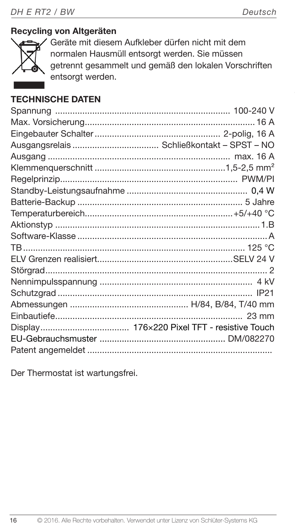# Recycling von Altgeräten



Geräte mit diesem Aufkleber dürfen nicht mit dem normalen Hausmüll entsorgt werden. Sie müssen getrennt gesammelt und gemäß den lokalen Vorschriften entsorgt werden.

# TECHNISCHE DATEN

Der Thermostat ist wartungsfrei.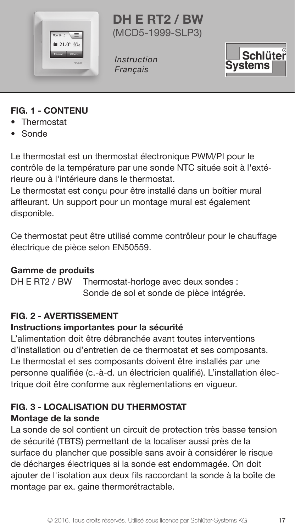

DH E RT2 / BW (MCD5-1999-SLP3)

Instruction Français



#### FIG. 1 - CONTENU

- Thermostat
- Sonde

Le thermostat est un thermostat électronique PWM/PI pour le contrôle de la température par une sonde NTC située soit à l'extérieure ou à l'intérieure dans le thermostat.

Le thermostat est conçu pour être installé dans un boîtier mural affleurant. Un support pour un montage mural est également disponible.

Ce thermostat peut être utilisé comme contrôleur pour le chauffage électrique de pièce selon EN50559.

#### Gamme de produits

DH E RT2 / BW Thermostat-horloge avec deux sondes : Sonde de sol et sonde de pièce intégrée.

# FIG. 2 - AVERTISSEMENT

#### Instructions importantes pour la sécurité

L'alimentation doit être débranchée avant toutes interventions d'installation ou d'entretien de ce thermostat et ses composants. Le thermostat et ses composants doivent être installés par une personne qualifiée (c.-à-d. un électricien qualifié). L'installation électrique doit être conforme aux règlementations en vigueur.

# FIG. 3 - LOCALISATION DU THERMOSTAT

# Montage de la sonde

La sonde de sol contient un circuit de protection très basse tension de sécurité (TBTS) permettant de la localiser aussi près de la surface du plancher que possible sans avoir à considérer le risque de décharges électriques si la sonde est endommagée. On doit ajouter de l'isolation aux deux fils raccordant la sonde à la boîte de montage par ex. gaine thermorétractable.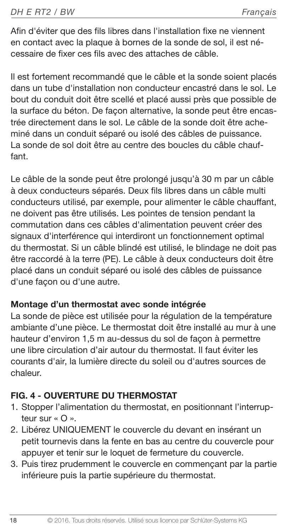Afin d'éviter que des fils libres dans l'installation fixe ne viennent en contact avec la plaque à bornes de la sonde de sol, il est nécessaire de fixer ces fils avec des attaches de câble.

Il est fortement recommandé que le câble et la sonde soient placés dans un tube d'installation non conducteur encastré dans le sol. Le bout du conduit doit être scellé et placé aussi près que possible de la surface du béton. De façon alternative, la sonde peut être encastrée directement dans le sol. Le câble de la sonde doit être acheminé dans un conduit séparé ou isolé des câbles de puissance. La sonde de sol doit être au centre des boucles du câble chauffant.

Le câble de la sonde peut être prolongé jusqu'à 30 m par un câble à deux conducteurs séparés. Deux fils libres dans un câble multi conducteurs utilisé, par exemple, pour alimenter le câble chauffant, ne doivent pas être utilisés. Les pointes de tension pendant la commutation dans ces câbles d'alimentation peuvent créer des signaux d'interférence qui interdiront un fonctionnement optimal du thermostat. Si un câble blindé est utilisé, le blindage ne doit pas être raccordé à la terre (PE). Le câble à deux conducteurs doit être placé dans un conduit séparé ou isolé des câbles de puissance d'une façon ou d'une autre.

#### Montage d'un thermostat avec sonde intégrée

La sonde de pièce est utilisée pour la régulation de la température ambiante d'une pièce. Le thermostat doit être installé au mur à une hauteur d'environ 1,5 m au-dessus du sol de façon à permettre une libre circulation d'air autour du thermostat. Il faut éviter les courants d'air, la lumière directe du soleil ou d'autres sources de chaleur.

# FIG. 4 - OUVERTURE DU THERMOSTAT

- 1. Stopper l'alimentation du thermostat, en positionnant l'interrupteur sur « O ».
- 2. Libérez UNIQUEMENT le couvercle du devant en insérant un petit tournevis dans la fente en bas au centre du couvercle pour appuyer et tenir sur le loquet de fermeture du couvercle.
- 3. Puis tirez prudemment le couvercle en commençant par la partie inférieure puis la partie supérieure du thermostat.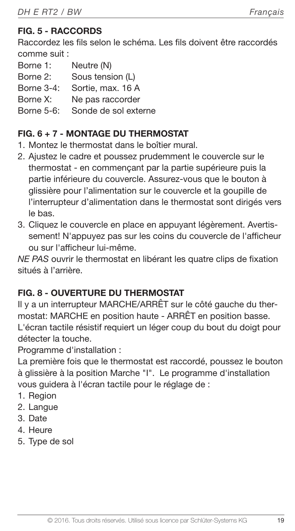# FIG. 5 - RACCORDS

Raccordez les fils selon le schéma. Les fils doivent être raccordés comme suit :

| Borne 1:          | Neutre (N)           |
|-------------------|----------------------|
| Borne 2:          | Sous tension (L)     |
| <b>Borne 3-4:</b> | Sortie, max. 16 A    |
| Borne X:          | Ne pas raccorder     |
| Borne 5-6:        | Sonde de sol externe |

# FIG. 6 + 7 - MONTAGE DU THERMOSTAT

- 1. Montez le thermostat dans le boîtier mural.
- 2. Ajustez le cadre et poussez prudemment le couvercle sur le thermostat - en commençant par la partie supérieure puis la partie inférieure du couvercle. Assurez-vous que le bouton à glissière pour l'alimentation sur le couvercle et la goupille de l'interrupteur d'alimentation dans le thermostat sont dirigés vers le bas.
- 3. Cliquez le couvercle en place en appuyant légèrement. Avertissement! N'appuyez pas sur les coins du couvercle de l'afficheur ou sur l'afficheur lui-même.

NE PAS ouvrir le thermostat en libérant les quatre clips de fixation situés à l'arrière.

#### FIG. 8 - OUVERTURE DU THERMOSTAT

Il y a un interrupteur MARCHE/ARRÊT sur le côté gauche du thermostat: MARCHE en position haute - ARRÊT en position basse. L'écran tactile résistif requiert un léger coup du bout du doigt pour détecter la touche.

Programme d'installation :

La première fois que le thermostat est raccordé, poussez le bouton à glissière à la position Marche "I". Le programme d'installation vous guidera à l'écran tactile pour le réglage de :

- 1. Region
- 2. Langue
- 3. Date
- 4. Heure
- 5. Type de sol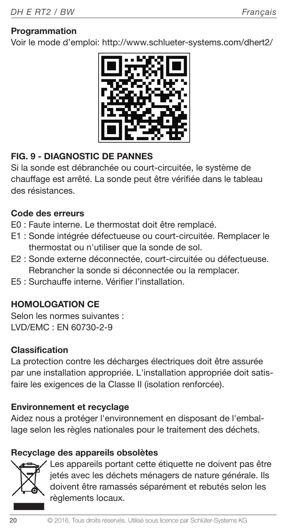#### **Programmation**

Voir le mode d'emploi: http://www.schlueter-systems.com/dhert2/



# FIG. 9 - DIAGNOSTIC DE PANNES

Si la sonde est débranchée ou court-circuitée, le système de chauffage est arrêté. La sonde peut être vérifiée dans le tableau des résistances.

#### Code des erreurs

- E0 : Faute interne. Le thermostat doit être remplacé.
- E1 : Sonde intégrée défectueuse ou court-circuitée. Remplacer le thermostat ou n'utiliser que la sonde de sol.
- E2 : Sonde externe déconnectée, court-circuitée ou défectueuse. Rebrancher la sonde si déconnectée ou la remplacer.
- E5 : Surchauffe interne. Vérifier l'installation.

# HOMOLOGATION CE

Selon les normes suivantes : LVD/EMC : EN 60730-2-9

# Classification

La protection contre les décharges électriques doit être assurée par une installation appropriée. L'installation appropriée doit satisfaire les exigences de la Classe II (isolation renforcée).

# Environnement et recyclage

Aidez nous a protéger l'environnement en disposant de l'emballage selon les règles nationales pour le traitement des déchets.

#### Recyclage des appareils obsolètes



Les appareils portant cette étiquette ne doivent pas être jetés avec les déchets ménagers de nature générale. Ils doivent être ramassés séparément et rebutés selon les règlements locaux.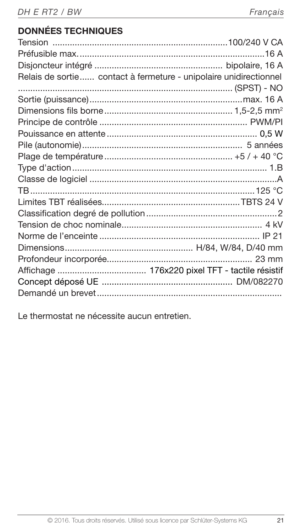# DONNÉES TECHNIQUES

| Relais de sortie contact à fermeture - unipolaire unidirectionnel |
|-------------------------------------------------------------------|
|                                                                   |
|                                                                   |
|                                                                   |
|                                                                   |
|                                                                   |
|                                                                   |
|                                                                   |
|                                                                   |
|                                                                   |
|                                                                   |
|                                                                   |
|                                                                   |
|                                                                   |
|                                                                   |
|                                                                   |
|                                                                   |
|                                                                   |
|                                                                   |
|                                                                   |

Le thermostat ne nécessite aucun entretien.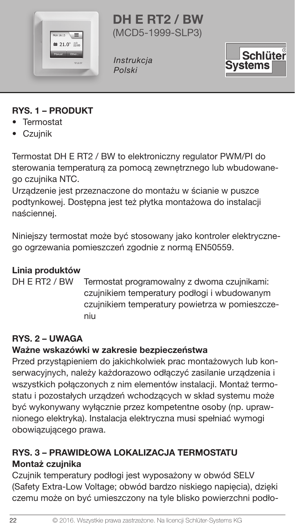

DH E RT2 / BW (MCD5-1999-SLP3)

**Instrukcja** Polski



# RYS. 1 – PRODUKT

- Termostat
- Czujnik

Termostat DH E RT2 / BW to elektroniczny regulator PWM/PI do sterowania temperaturą za pomocą zewnętrznego lub wbudowanego czujnika NTC.

Urządzenie jest przeznaczone do montażu w ścianie w puszce podtynkowej. Dostępna jest też płytka montażowa do instalacji naściennej.

Niniejszy termostat może być stosowany jako kontroler elektrycznego ogrzewania pomieszczeń zgodnie z normą EN50559.

# Linia produktów

DH E RT2 / BW Termostat programowalny z dwoma czujnikami: czujnikiem temperatury podłogi i wbudowanym czujnikiem temperatury powietrza w pomieszczeniu

# RYS. 2 – UWAGA

# Ważne wskazówki w zakresie bezpieczeństwa

Przed przystąpieniem do jakichkolwiek prac montażowych lub konserwacyjnych, należy każdorazowo odłączyć zasilanie urządzenia i wszystkich połączonych z nim elementów instalacji. Montaż termostatu i pozostałych urządzeń wchodzących w skład systemu może być wykonywany wyłącznie przez kompetentne osoby (np. uprawnionego elektryka). Instalacja elektryczna musi spełniać wymogi obowiązującego prawa.

# RYS. 3 – PRAWIDŁOWA LOKALIZACJA TERMOSTATU Montaż czujnika

Czujnik temperatury podłogi jest wyposażony w obwód SELV (Safety Extra-Low Voltage; obwód bardzo niskiego napięcia), dzięki czemu może on być umieszczony na tyle blisko powierzchni podło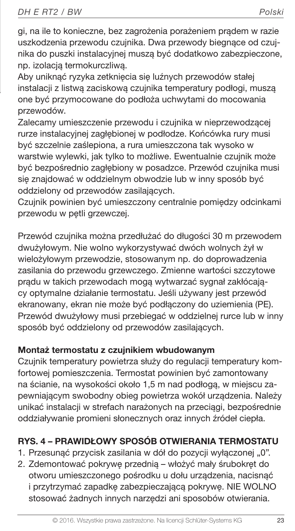gi, na ile to konieczne, bez zagrożenia porażeniem prądem w razie uszkodzenia przewodu czujnika. Dwa przewody biegnące od czujnika do puszki instalacyjnej muszą być dodatkowo zabezpieczone, np. izolacją termokurczliwą.

Aby uniknąć ryzyka zetknięcia się luźnych przewodów stałej instalacji z listwą zaciskową czujnika temperatury podłogi, muszą one być przymocowane do podłoża uchwytami do mocowania przewodów.

Zalecamy umieszczenie przewodu i czujnika w nieprzewodzącej rurze instalacyjnej zagłębionej w podłodze. Końcówka rury musi być szczelnie zaślepiona, a rura umieszczona tak wysoko w warstwie wylewki, jak tylko to możliwe. Ewentualnie czujnik może być bezpośrednio zagłębiony w posadzce. Przewód czujnika musi się znajdować w oddzielnym obwodzie lub w inny sposób być oddzielony od przewodów zasilających.

Czujnik powinien być umieszczony centralnie pomiędzy odcinkami przewodu w pętli grzewczej.

Przewód czujnika można przedłużać do długości 30 m przewodem dwużyłowym. Nie wolno wykorzystywać dwóch wolnych żył w wielożyłowym przewodzie, stosowanym np. do doprowadzenia zasilania do przewodu grzewczego. Zmienne wartości szczytowe prądu w takich przewodach mogą wytwarzać sygnał zakłócający optymalne działanie termostatu. Jeśli używany jest przewód ekranowany, ekran nie może być podłączony do uziemienia (PE). Przewód dwużyłowy musi przebiegać w oddzielnej rurce lub w inny sposób być oddzielony od przewodów zasilających.

# Montaż termostatu z czujnikiem wbudowanym

Czujnik temperatury powietrza służy do regulacji temperatury komfortowej pomieszczenia. Termostat powinien być zamontowany na ścianie, na wysokości około 1,5 m nad podłogą, w miejscu zapewniającym swobodny obieg powietrza wokół urządzenia. Należy unikać instalacji w strefach narażonych na przeciągi, bezpośrednie oddziaływanie promieni słonecznych oraz innych źródeł ciepła.

# RYS. 4 – PRAWIDŁOWY SPOSÓB OTWIERANIA TERMOSTATU

- 1. Przesunąć przycisk zasilania w dół do pozycji wyłączonej "0".
- 2. Zdemontować pokrywę przednią włożyć mały śrubokręt do otworu umieszczonego pośrodku u dołu urządzenia, nacisnąć i przytrzymać zapadkę zabezpieczającą pokrywę. NIE WOLNO stosować żadnych innych narzędzi ani sposobów otwierania.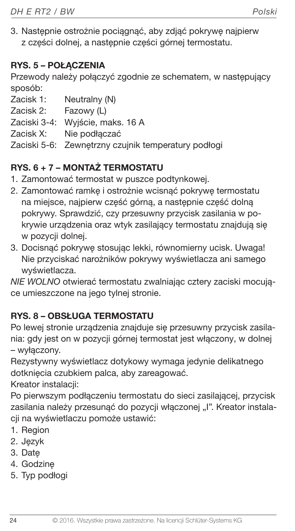3. Następnie ostrożnie pociągnąć, aby zdjąć pokrywę najpierw z części dolnej, a następnie części górnej termostatu.

# RYS. 5 – POŁACZENIA

Przewody należy połączyć zgodnie ze schematem, w następujący sposób:

- Zacisk 1: Neutralny (N)
- Zacisk 2: Fazowy (L)
- Zaciski 3-4: Wyjście, maks. 16 A
- Zacisk X: Nie podłączać
- Zaciski 5-6: Zewnętrzny czujnik temperatury podłogi

# RYS. 6 + 7 – MONTAŻ TERMOSTATU

- 1. Zamontować termostat w puszce podtynkowej.
- 2. Zamontować ramkę i ostrożnie wcisnąć pokrywę termostatu na miejsce, najpierw część górną, a następnie część dolną pokrywy. Sprawdzić, czy przesuwny przycisk zasilania w pokrywie urządzenia oraz wtyk zasilający termostatu znajdują się w pozycji dolnej.
- 3. Docisnąć pokrywę stosując lekki, równomierny ucisk. Uwaga! Nie przyciskać narożników pokrywy wyświetlacza ani samego wyświetlacza.

NIE WOLNO otwierać termostatu zwalniając cztery zaciski mocujące umieszczone na jego tylnej stronie.

# RYS. 8 – OBSŁUGA TERMOSTATU

Po lewej stronie urządzenia znajduje się przesuwny przycisk zasilania: gdy jest on w pozycji górnej termostat jest włączony, w dolnej – wyłączony.

Rezystywny wyświetlacz dotykowy wymaga jedynie delikatnego dotknięcia czubkiem palca, aby zareagować.

Kreator instalacji:

Po pierwszym podłączeniu termostatu do sieci zasilającej, przycisk zasilania należy przesunąć do pozycji włączonej "I". Kreator instalacji na wyświetlaczu pomoże ustawić:

- 1. Region
- 2. Język
- 3. Datę
- 4. Godzinę
- 5. Typ podłogi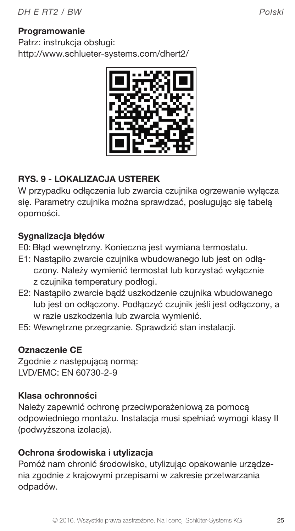#### **Programowanie**

Patrz: instrukcja obsługi: http://www.schlueter-systems.com/dhert2/



# RYS. 9 - LOKALIZACJA USTEREK

W przypadku odłączenia lub zwarcia czujnika ogrzewanie wyłącza się. Parametry czujnika można sprawdzać, posługując się tabelą oporności.

# Sygnalizacia błędów

E0: Błąd wewnętrzny. Konieczna jest wymiana termostatu.

- E1: Nastąpiło zwarcie czujnika wbudowanego lub jest on odłączony. Należy wymienić termostat lub korzystać wyłącznie z czujnika temperatury podłogi.
- E2: Nastapiło zwarcie bądź uszkodzenie czujnika wbudowanego lub jest on odłączony. Podłączyć czujnik jeśli jest odłączony, a w razie uszkodzenia lub zwarcia wymienić.
- E5: Wewnętrzne przegrzanie. Sprawdzić stan instalacji.

# Oznaczenie CE

Zgodnie z następującą normą: LVD/EMC: EN 60730-2-9

# Klasa ochronności

Należy zapewnić ochronę przeciwporażeniową za pomocą odpowiedniego montażu. Instalacja musi spełniać wymogi klasy II (podwyższona izolacja).

#### Ochrona środowiska i utylizacja

Pomóż nam chronić środowisko, utylizując opakowanie urządzenia zgodnie z krajowymi przepisami w zakresie przetwarzania odpadów.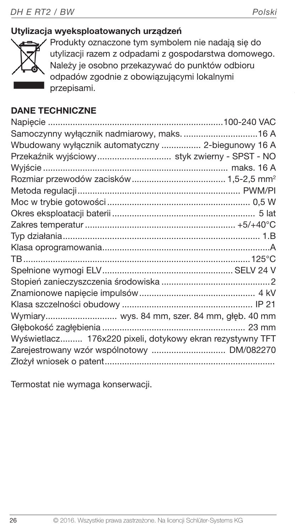# Utylizacja wyeksploatowanych urządzeń



Produkty oznaczone tym symbolem nie nadają się do utylizacji razem z odpadami z gospodarstwa domowego. Należy je osobno przekazywać do punktów odbioru odpadów zgodnie z obowiązującymi lokalnymi przepisami.

# DANE TECHNICZNE

| Samoczynny wyłącznik nadmiarowy, maks.  16 A              |  |
|-----------------------------------------------------------|--|
| Wbudowany wyłącznik automatyczny  2-biegunowy 16 A        |  |
| Przekaźnik wyjściowy  styk zwierny - SPST - NO            |  |
|                                                           |  |
|                                                           |  |
|                                                           |  |
|                                                           |  |
|                                                           |  |
|                                                           |  |
|                                                           |  |
|                                                           |  |
|                                                           |  |
|                                                           |  |
|                                                           |  |
|                                                           |  |
|                                                           |  |
| Wymiary wys. 84 mm, szer. 84 mm, głęb. 40 mm              |  |
|                                                           |  |
| Wyświetlacz 176x220 pixeli, dotykowy ekran rezystywny TFT |  |
|                                                           |  |
|                                                           |  |

Termostat nie wymaga konserwacji.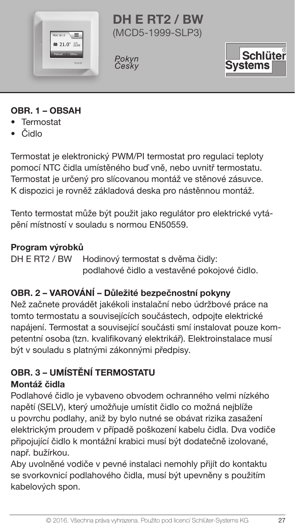

DH E RT2 / BW (MCD5-1999-SLP3)

Pokyn<br>Česky



# OBR. 1 – OBSAH

- Termostat
- Čidlo

Termostat je elektronický PWM/PI termostat pro regulaci teploty pomocí NTC čidla umístěného buď vně, nebo uvnitř termostatu. Termostat je určený pro slícovanou montáž ve stěnové zásuvce. K dispozici je rovněž základová deska pro nástěnnou montáž.

Tento termostat může být použit jako regulátor pro elektrické vytápění místností v souladu s normou EN50559.

#### Program výrobků

DH E RT2 / BW Hodinový termostat s dvěma čidly: podlahové čidlo a vestavěné pokojové čidlo.

# OBR. 2 – VAROVÁNÍ – Důležité bezpečnostní pokyny

Než začnete provádět jakékoli instalační nebo údržbové práce na tomto termostatu a souvisejících součástech, odpojte elektrické napájení. Termostat a související součásti smí instalovat pouze kompetentní osoba (tzn. kvalifikovaný elektrikář). Elektroinstalace musí být v souladu s platnými zákonnými předpisy.

# OBR. 3 – UMÍSTĚNÍ TERMOSTATU Montáž čidla

Podlahové čidlo je vybaveno obvodem ochranného velmi nízkého napětí (SELV), který umožňuje umístit čidlo co možná nejblíže u povrchu podlahy, aniž by bylo nutné se obávat rizika zasažení elektrickým proudem v případě poškození kabelu čidla. Dva vodiče připojující čidlo k montážní krabici musí být dodatečně izolované, např. bužírkou.

Aby uvolněné vodiče v pevné instalaci nemohly přijít do kontaktu se svorkovnicí podlahového čidla, musí být upevněny s použitím kabelových spon.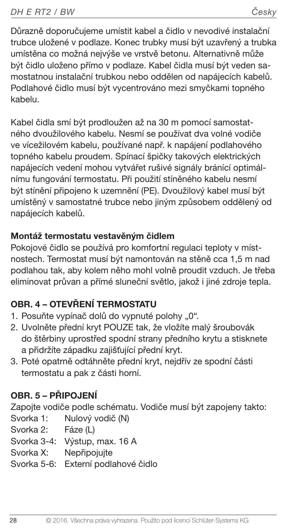Důrazně doporučujeme umístit kabel a čidlo v nevodivé instalační trubce uložené v podlaze. Konec trubky musí být uzavřený a trubka umístěna co možná nejvýše ve vrstvě betonu. Alternativně může být čidlo uloženo přímo v podlaze. Kabel čidla musí být veden samostatnou instalační trubkou nebo oddělen od napájecích kabelů. Podlahové čidlo musí být vycentrováno mezi smyčkami topného kabelu.

Kabel čidla smí být prodloužen až na 30 m pomocí samostatného dvoužilového kabelu. Nesmí se používat dva volné vodiče ve vícežilovém kabelu, používané např. k napájení podlahového topného kabelu proudem. Spínací špičky takových elektrických napájecích vedení mohou vytvářet rušivé signály bránící optimálnímu fungování termostatu. Při použití stíněného kabelu nesmí být stínění připojeno k uzemnění (PE). Dvoužilový kabel musí být umístěný v samostatné trubce nebo jiným způsobem oddělený od napájecích kabelů.

# Montáž termostatu vestavěným čidlem

Pokojové čidlo se používá pro komfortní regulaci teploty v místnostech. Termostat musí být namontován na stěně cca 1,5 m nad podlahou tak, aby kolem něho mohl volně proudit vzduch. Je třeba eliminovat průvan a přímé sluneční světlo, jakož i jiné zdroje tepla.

# OBR. 4 – OTEVŘENÍ TERMOSTATU

- 1. Posuňte vypínač dolů do vypnuté polohy "0".
- 2. Uvolněte přední kryt POUZE tak, že vložíte malý šroubovák do štěrbiny uprostřed spodní strany předního krytu a stisknete a přidržíte západku zajišťující přední kryt.
- 3. Poté opatrně odtáhněte přední kryt, nejdřív ze spodní části termostatu a pak z části horní.

# OBR. 5 – PŘIPOJENÍ

Zapojte vodiče podle schématu. Vodiče musí být zapojeny takto:

- Svorka 1: Nulový vodič (N)
- Svorka 2: Fáze (L)
- Svorka 3-4: Výstup, max. 16 A
- Svorka X: Nepřipojujte
- Svorka 5-6: Externí podlahové čidlo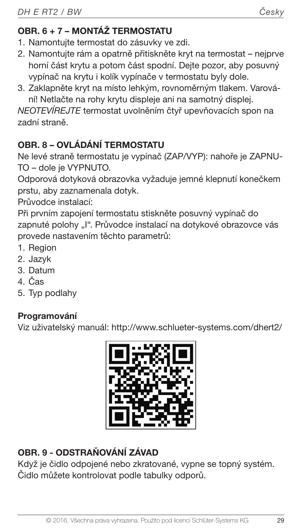# OBR. 6 + 7 – MONTÁŽ TERMOSTATU

- 1. Namontujte termostat do zásuvky ve zdi.
- 2. Namontujte rám a opatrně přitiskněte kryt na termostat nejprve horní část krytu a potom část spodní. Dejte pozor, aby posuvný vypínač na krytu i kolík vypínače v termostatu byly dole.
- 3. Zaklapněte kryt na místo lehkým, rovnoměrným tlakem. Varování! Netlačte na rohy krytu displeje ani na samotný displej.

NEOTEVÍREJTE termostat uvolněním čtyř upevňovacích spon na zadní straně.

# OBR. 8 – OVLÁDÁNÍ TERMOSTATU

Ne levé straně termostatu je vypínač (ZAP/VYP): nahoře je ZAPNU-TO – dole je VYPNUTO.

Odporová dotyková obrazovka vyžaduje jemné klepnutí konečkem prstu, aby zaznamenala dotyk.

Průvodce instalací:

Při prvním zapojení termostatu stiskněte posuvný vypínač do zapnuté polohy "I". Průvodce instalací na dotykové obrazovce vás provede nastavením těchto parametrů:

- 1. Region
- 2. Jazyk
- 3. Datum
- 4. Čas
- 5. Typ podlahy

# Programování

Viz uživatelský manuál: http://www.schlueter-systems.com/dhert2/



# OBR. 9 - ODSTRAŇOVÁNÍ ZÁVAD

Když je čidlo odpojené nebo zkratované, vypne se topný systém. Čidlo můžete kontrolovat podle tabulky odporů.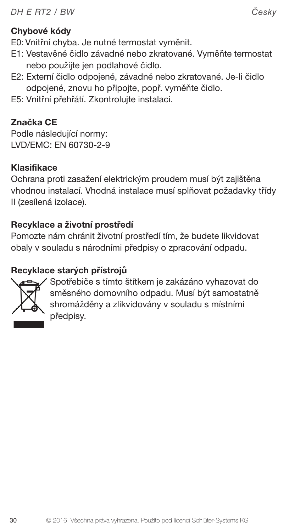E0: Vnitřní chyba. Je nutné termostat vyměnit.

- E1: Vestavěné čidlo závadné nebo zkratované. Vyměňte termostat nebo použijte jen podlahové čidlo.
- E2: Externí čidlo odpojené, závadné nebo zkratované. Je-li čidlo odpojené, znovu ho připojte, popř. vyměňte čidlo.
- E5: Vnitřní přehřátí. Zkontrolujte instalaci.

# Značka CE

Podle následující normy: LVD/EMC: EN 60730-2-9

# Klasifikace

Ochrana proti zasažení elektrickým proudem musí být zajištěna vhodnou instalací. Vhodná instalace musí splňovat požadavky třídy II (zesílená izolace).

# Recyklace a životní prostředí

Pomozte nám chránit životní prostředí tím, že budete likvidovat obaly v souladu s národními předpisy o zpracování odpadu.

# Recyklace starých přístrojů



Spotřebiče s tímto štítkem je zakázáno vyhazovat do směsného domovního odpadu. Musí být samostatně shromážděny a zlikvidovány v souladu s místními předpisy.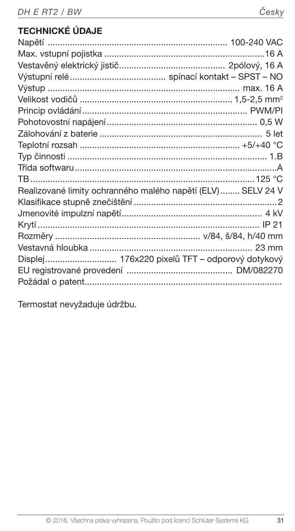# TECHNICKÉ ÚDAJE

| Realizované limity ochranného malého napětí (ELV)  SELV 24 V |  |
|--------------------------------------------------------------|--|
|                                                              |  |
|                                                              |  |
|                                                              |  |
|                                                              |  |
|                                                              |  |
| Displej 176x220 pixelů TFT – odporový dotykový               |  |
|                                                              |  |
|                                                              |  |

Termostat nevyžaduje údržbu.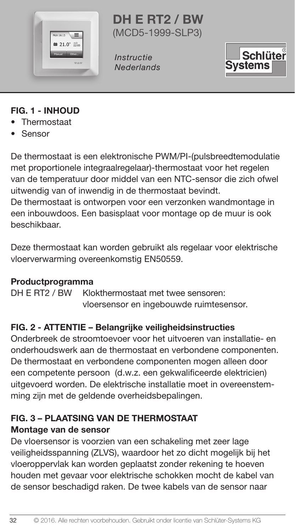

DH E RT2 / BW (MCD5-1999-SLP3)

**Instructie Nederlands** 



# FIG. 1 - INHOUD

- Thermostaat
- Sensor

De thermostaat is een elektronische PWM/PI-(pulsbreedtemodulatie met proportionele integraalregelaar)-thermostaat voor het regelen van de temperatuur door middel van een NTC-sensor die zich ofwel uitwendig van of inwendig in de thermostaat bevindt.

De thermostaat is ontworpen voor een verzonken wandmontage in een inbouwdoos. Een basisplaat voor montage op de muur is ook beschikbaar.

Deze thermostaat kan worden gebruikt als regelaar voor elektrische vloerverwarming overeenkomstig EN50559.

#### Productprogramma

DH E RT2 / BW Klokthermostaat met twee sensoren: vloersensor en ingebouwde ruimtesensor.

# FIG. 2 - ATTENTIE – Belangrijke veiligheidsinstructies

Onderbreek de stroomtoevoer voor het uitvoeren van installatie- en onderhoudswerk aan de thermostaat en verbondene componenten. De thermostaat en verbondene componenten mogen alleen door een competente persoon (d.w.z. een gekwalificeerde elektricien) uitgevoerd worden. De elektrische installatie moet in overeenstemming zijn met de geldende overheidsbepalingen.

#### FIG. 3 – PLAATSING VAN DE THERMOSTAAT Montage van de sensor

De vloersensor is voorzien van een schakeling met zeer lage veiligheidsspanning (ZLVS), waardoor het zo dicht mogelijk bij het vloeroppervlak kan worden geplaatst zonder rekening te hoeven houden met gevaar voor elektrische schokken mocht de kabel van de sensor beschadigd raken. De twee kabels van de sensor naar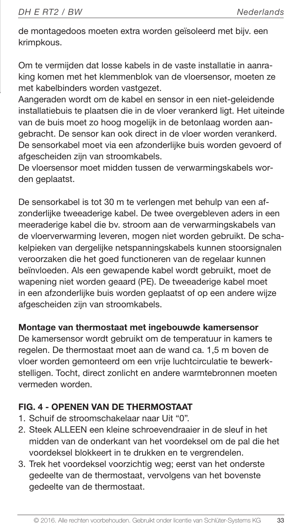de montagedoos moeten extra worden geïsoleerd met bijv. een krimpkous.

Om te vermijden dat losse kabels in de vaste installatie in aanraking komen met het klemmenblok van de vloersensor, moeten ze met kabelbinders worden vastgezet.

Aangeraden wordt om de kabel en sensor in een niet-geleidende installatiebuis te plaatsen die in de vloer verankerd ligt. Het uiteinde van de buis moet zo hoog mogelijk in de betonlaag worden aangebracht. De sensor kan ook direct in de vloer worden verankerd. De sensorkabel moet via een afzonderlijke buis worden gevoerd of afgescheiden zijn van stroomkabels.

De vloersensor moet midden tussen de verwarmingskabels worden geplaatst.

De sensorkabel is tot 30 m te verlengen met behulp van een afzonderlijke tweeaderige kabel. De twee overgebleven aders in een meeraderige kabel die bv. stroom aan de verwarmingskabels van de vloerverwarming leveren, mogen niet worden gebruikt. De schakelpieken van dergelijke netspanningskabels kunnen stoorsignalen veroorzaken die het goed functioneren van de regelaar kunnen beïnvloeden. Als een gewapende kabel wordt gebruikt, moet de wapening niet worden geaard (PE). De tweeaderige kabel moet in een afzonderlijke buis worden geplaatst of op een andere wijze afgescheiden zijn van stroomkabels.

#### Montage van thermostaat met ingebouwde kamersensor

De kamersensor wordt gebruikt om de temperatuur in kamers te regelen. De thermostaat moet aan de wand ca. 1,5 m boven de vloer worden gemonteerd om een vrije luchtcirculatie te bewerkstelligen. Tocht, direct zonlicht en andere warmtebronnen moeten vermeden worden.

# FIG. 4 - OPENEN VAN DE THERMOSTAAT

- 1. Schuif de stroomschakelaar naar Uit "0".
- 2. Steek ALLEEN een kleine schroevendraaier in de sleuf in het midden van de onderkant van het voordeksel om de pal die het voordeksel blokkeert in te drukken en te vergrendelen.
- 3. Trek het voordeksel voorzichtig weg; eerst van het onderste gedeelte van de thermostaat, vervolgens van het bovenste gedeelte van de thermostaat.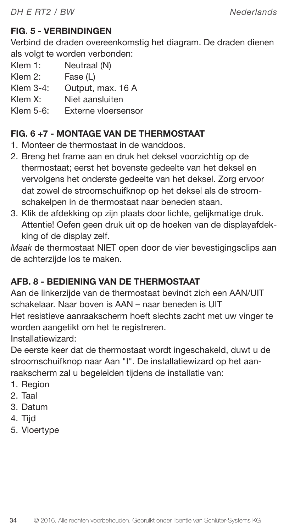# FIG. 5 - VERBINDINGEN

Verbind de draden overeenkomstig het diagram. De draden dienen als volgt te worden verbonden:

- Klem 1: Neutraal (N)
- Klem 2: Fase (L)
- Klem 3-4: Output, max. 16 A
- Klem X: Niet aansluiten
- Klem 5-6: Externe vloersensor

# FIG. 6 +7 - MONTAGE VAN DE THERMOSTAAT

- 1. Monteer de thermostaat in de wanddoos.
- 2. Breng het frame aan en druk het deksel voorzichtig op de thermostaat; eerst het bovenste gedeelte van het deksel en vervolgens het onderste gedeelte van het deksel. Zorg ervoor dat zowel de stroomschuifknop op het deksel als de stroomschakelpen in de thermostaat naar beneden staan.
- 3. Klik de afdekking op zijn plaats door lichte, gelijkmatige druk. Attentie! Oefen geen druk uit op de hoeken van de displayafdekking of de display zelf.

Maak de thermostaat NIET open door de vier bevestigingsclips aan de achterzijde los te maken.

# AFB. 8 - BEDIENING VAN DE THERMOSTAAT

Aan de linkerzijde van de thermostaat bevindt zich een AAN/UIT schakelaar. Naar boven is AAN – naar beneden is UIT Het resistieve aanraakscherm hoeft slechts zacht met uw vinger te worden aangetikt om het te registreren.

Installatiewizard:

De eerste keer dat de thermostaat wordt ingeschakeld, duwt u de stroomschuifknop naar Aan "I". De installatiewizard op het aanraakscherm zal u begeleiden tijdens de installatie van:

- 1. Region
- 2. Taal
- 3. Datum
- 4. Tijd
- 5. Vloertype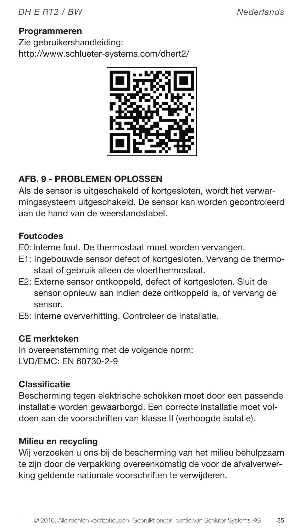#### Programmeren

Zie gebruikershandleiding: http://www.schlueter-systems.com/dhert2/



# AFB. 9 - PROBLEMEN OPLOSSEN

Als de sensor is uitgeschakeld of kortgesloten, wordt het verwarmingssysteem uitgeschakeld. De sensor kan worden gecontroleerd aan de hand van de weerstandstabel.

#### Foutcodes

E0: Interne fout. De thermostaat moet worden vervangen.

- E1: Ingebouwde sensor defect of kortgesloten. Vervang de thermostaat of gebruik alleen de vloerthermostaat.
- E2: Externe sensor ontkoppeld, defect of kortgesloten. Sluit de sensor opnieuw aan indien deze ontkoppeld is, of vervang de sensor.
- E5: Interne oververhitting. Controleer de installatie.

#### CE merkteken

In overeenstemming met de volgende norm: LVD/EMC: EN 60730-2-9

#### Classificatie

Bescherming tegen elektrische schokken moet door een passende installatie worden gewaarborgd. Een correcte installatie moet voldoen aan de voorschriften van klasse II (verhoogde isolatie).

#### Milieu en recycling

Wij verzoeken u ons bij de bescherming van het milieu behulpzaam te zijn door de verpakking overeenkomstig de voor de afvalverwerking geldende nationale voorschriften te verwijderen.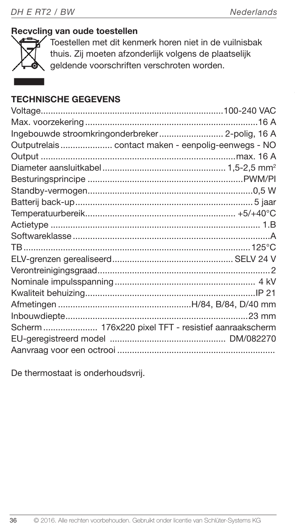#### Recycling van oude toestellen



Toestellen met dit kenmerk horen niet in de vuilnisbak thuis. Zij moeten afzonderlijk volgens de plaatselijk geldende voorschriften verschroten worden.

# TECHNISCHE GEGEVENS

| Outputrelais contact maken - eenpolig-eenwegs - NO |  |
|----------------------------------------------------|--|
|                                                    |  |
|                                                    |  |
|                                                    |  |
|                                                    |  |
|                                                    |  |
|                                                    |  |
|                                                    |  |
|                                                    |  |
|                                                    |  |
|                                                    |  |
|                                                    |  |
|                                                    |  |
|                                                    |  |
|                                                    |  |
|                                                    |  |
| Scherm 176x220 pixel TFT - resistief aanraakscherm |  |
|                                                    |  |
|                                                    |  |

De thermostaat is onderhoudsvrij.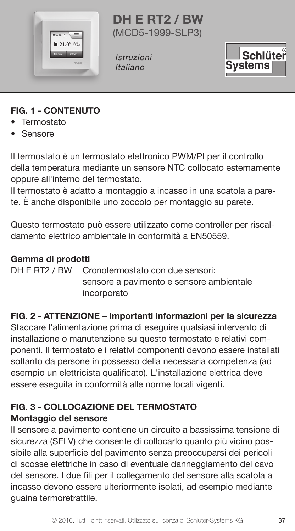

DH E RT2 / BW (MCD5-1999-SLP3)

Istruzioni Italiano



# FIG. 1 - CONTENUTO

- Termostato
- Sensore

Il termostato è un termostato elettronico PWM/PI per il controllo della temperatura mediante un sensore NTC collocato esternamente oppure all'interno del termostato.

Il termostato è adatto a montaggio a incasso in una scatola a parete. È anche disponibile uno zoccolo per montaggio su parete.

Questo termostato può essere utilizzato come controller per riscaldamento elettrico ambientale in conformità a EN50559.

#### Gamma di prodotti

DH E RT2 / BW Cronotermostato con due sensori: sensore a pavimento e sensore ambientale incorporato

# FIG. 2 - ATTENZIONE – Importanti informazioni per la sicurezza

Staccare l'alimentazione prima di eseguire qualsiasi intervento di installazione o manutenzione su questo termostato e relativi componenti. Il termostato e i relativi componenti devono essere installati soltanto da persone in possesso della necessaria competenza (ad esempio un elettricista qualificato). L'installazione elettrica deve essere eseguita in conformità alle norme locali vigenti.

# FIG. 3 - COLLOCAZIONE DEL TERMOSTATO Montaggio del sensore

Il sensore a pavimento contiene un circuito a bassissima tensione di sicurezza (SELV) che consente di collocarlo quanto più vicino possibile alla superficie del pavimento senza preoccuparsi dei pericoli di scosse elettriche in caso di eventuale danneggiamento del cavo del sensore. I due fili per il collegamento del sensore alla scatola a incasso devono essere ulteriormente isolati, ad esempio mediante guaina termoretrattile.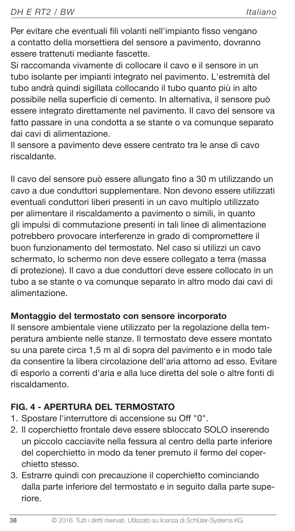Per evitare che eventuali fili volanti nell'impianto fisso vengano a contatto della morsettiera del sensore a pavimento, dovranno essere trattenuti mediante fascette.

Si raccomanda vivamente di collocare il cavo e il sensore in un tubo isolante per impianti integrato nel pavimento. L'estremità del tubo andrà quindi sigillata collocando il tubo quanto più in alto possibile nella superficie di cemento. In alternativa, il sensore può essere integrato direttamente nel pavimento. Il cavo del sensore va fatto passare in una condotta a se stante o va comunque separato dai cavi di alimentazione.

Il sensore a pavimento deve essere centrato tra le anse di cavo riscaldante.

Il cavo del sensore può essere allungato fino a 30 m utilizzando un cavo a due conduttori supplementare. Non devono essere utilizzati eventuali conduttori liberi presenti in un cavo multiplo utilizzato per alimentare il riscaldamento a pavimento o simili, in quanto gli impulsi di commutazione presenti in tali linee di alimentazione potrebbero provocare interferenze in grado di compromettere il buon funzionamento del termostato. Nel caso si utilizzi un cavo schermato, lo schermo non deve essere collegato a terra (massa di protezione). Il cavo a due conduttori deve essere collocato in un tubo a se stante o va comunque separato in altro modo dai cavi di alimentazione.

#### Montaggio del termostato con sensore incorporato

Il sensore ambientale viene utilizzato per la regolazione della temperatura ambiente nelle stanze. Il termostato deve essere montato su una parete circa 1,5 m al di sopra del pavimento e in modo tale da consentire la libera circolazione dell'aria attorno ad esso. Evitare di esporlo a correnti d'aria e alla luce diretta del sole o altre fonti di riscaldamento.

# FIG. 4 - APERTURA DEL TERMOSTATO

- 1. Spostare l'interruttore di accensione su Off "0".
- 2. Il coperchietto frontale deve essere sbloccato SOLO inserendo un piccolo cacciavite nella fessura al centro della parte inferiore del coperchietto in modo da tener premuto il fermo del coperchietto stesso.
- 3. Estrarre quindi con precauzione il coperchietto cominciando dalla parte inferiore del termostato e in seguito dalla parte superiore.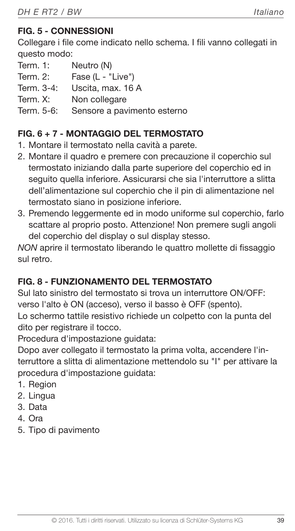# FIG. 5 - CONNESSIONI

Collegare i file come indicato nello schema. I fili vanno collegati in questo modo:

- Term. 1: Neutro (N)
- Term. 2: Fase (L "Live")
- Term. 3-4: Uscita, max. 16 A
- Term. X: Non collegare
- Term. 5-6: Sensore a pavimento esterno

# FIG. 6 + 7 - MONTAGGIO DEL TERMOSTATO

- 1. Montare il termostato nella cavità a parete.
- 2. Montare il quadro e premere con precauzione il coperchio sul termostato iniziando dalla parte superiore del coperchio ed in seguito quella inferiore. Assicurarsi che sia l'interruttore a slitta dell'alimentazione sul coperchio che il pin di alimentazione nel termostato siano in posizione inferiore.
- 3. Premendo leggermente ed in modo uniforme sul coperchio, farlo scattare al proprio posto. Attenzione! Non premere sugli angoli del coperchio del display o sul display stesso.

NON aprire il termostato liberando le quattro mollette di fissaggio sul retro.

# FIG. 8 - FUNZIONAMENTO DEL TERMOSTATO

Sul lato sinistro del termostato si trova un interruttore ON/OFF: verso l'alto è ON (acceso), verso il basso è OFF (spento).

Lo schermo tattile resistivo richiede un colpetto con la punta del dito per registrare il tocco.

Procedura d'impostazione guidata:

Dopo aver collegato il termostato la prima volta, accendere l'interruttore a slitta di alimentazione mettendolo su "I" per attivare la procedura d'impostazione guidata:

- 1. Region
- 2. Lingua
- 3. Data
- 4. Ora
- 5. Tipo di pavimento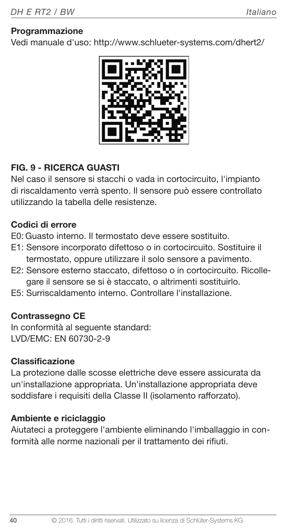#### Programmazione

Vedi manuale d'uso: http://www.schlueter-systems.com/dhert2/



# FIG. 9 - RICERCA GUASTI

Nel caso il sensore si stacchi o vada in cortocircuito, l'impianto di riscaldamento verrà spento. Il sensore può essere controllato utilizzando la tabella delle resistenze.

#### Codici di errore

E0: Guasto interno. Il termostato deve essere sostituito.

- E1: Sensore incorporato difettoso o in cortocircuito. Sostituire il termostato, oppure utilizzare il solo sensore a pavimento.
- E2: Sensore esterno staccato, difettoso o in cortocircuito. Ricollegare il sensore se si è staccato, o altrimenti sostituirlo.
- E5: Surriscaldamento interno. Controllare l'installazione.

#### Contrassegno CE

In conformità al seguente standard: LVD/EMC: EN 60730-2-9

#### Classificazione

La protezione dalle scosse elettriche deve essere assicurata da un'installazione appropriata. Un'installazione appropriata deve soddisfare i requisiti della Classe II (isolamento rafforzato).

#### Ambiente e riciclaggio

Aiutateci a proteggere l'ambiente eliminando l'imballaggio in conformità alle norme nazionali per il trattamento dei rifiuti.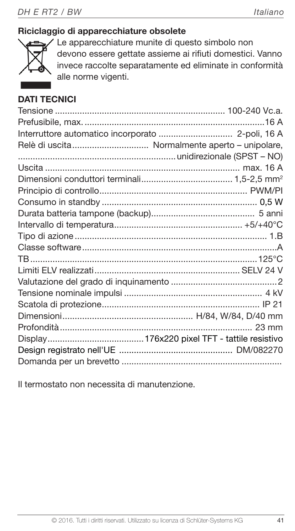# Riciclaggio di apparecchiature obsolete



Le apparecchiature munite di questo simbolo non devono essere gettate assieme ai rifiuti domestici. Vanno invece raccolte separatamente ed eliminate in conformità alle norme vigenti.

# DATI TECNICI

| Relè di uscita Normalmente aperto - unipolare, |                 |
|------------------------------------------------|-----------------|
|                                                |                 |
|                                                |                 |
|                                                |                 |
|                                                |                 |
|                                                |                 |
|                                                |                 |
|                                                |                 |
|                                                |                 |
|                                                |                 |
|                                                |                 |
|                                                |                 |
|                                                |                 |
|                                                |                 |
|                                                |                 |
|                                                |                 |
|                                                | $23 \text{ mm}$ |
|                                                |                 |
|                                                |                 |
|                                                |                 |

Il termostato non necessita di manutenzione.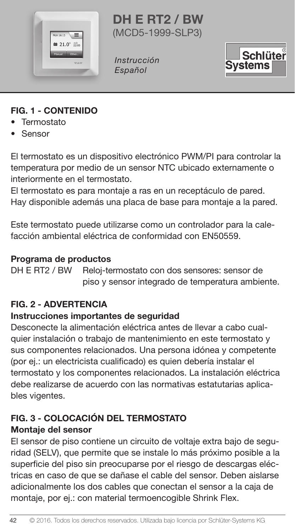

DH E RT2 / BW (MCD5-1999-SLP3)

Instrucción Español



# FIG. 1 - CONTENIDO

- Termostato
- Sensor

El termostato es un dispositivo electrónico PWM/PI para controlar la temperatura por medio de un sensor NTC ubicado externamente o interiormente en el termostato.

El termostato es para montaje a ras en un receptáculo de pared. Hay disponible además una placa de base para montaje a la pared.

Este termostato puede utilizarse como un controlador para la calefacción ambiental eléctrica de conformidad con EN50559.

# **Programa de productos<br>DH E RT2 / BW - Reloi-te**

Reloi-termostato con dos sensores: sensor de piso y sensor integrado de temperatura ambiente.

# FIG. 2 - ADVERTENCIA

#### Instrucciones importantes de seguridad

Desconecte la alimentación eléctrica antes de llevar a cabo cualquier instalación o trabajo de mantenimiento en este termostato y sus componentes relacionados. Una persona idónea y competente (por ej.: un electricista cualificado) es quien debería instalar el termostato y los componentes relacionados. La instalación eléctrica debe realizarse de acuerdo con las normativas estatutarias aplicables vigentes.

# FIG. 3 - COLOCACIÓN DEL TERMOSTATO

#### Montaje del sensor

El sensor de piso contiene un circuito de voltaje extra bajo de seguridad (SELV), que permite que se instale lo más próximo posible a la superficie del piso sin preocuparse por el riesgo de descargas eléctricas en caso de que se dañase el cable del sensor. Deben aislarse adicionalmente los dos cables que conectan el sensor a la caja de montaje, por ej.: con material termoencogible Shrink Flex.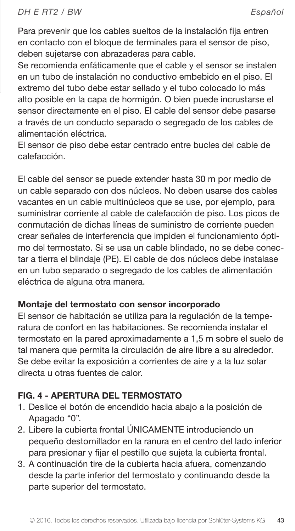Para prevenir que los cables sueltos de la instalación fija entren en contacto con el bloque de terminales para el sensor de piso, deben sujetarse con abrazaderas para cable.

Se recomienda enfáticamente que el cable y el sensor se instalen en un tubo de instalación no conductivo embebido en el piso. El extremo del tubo debe estar sellado y el tubo colocado lo más alto posible en la capa de hormigón. O bien puede incrustarse el sensor directamente en el piso. El cable del sensor debe pasarse a través de un conducto separado o segregado de los cables de alimentación eléctrica.

El sensor de piso debe estar centrado entre bucles del cable de calefacción.

El cable del sensor se puede extender hasta 30 m por medio de un cable separado con dos núcleos. No deben usarse dos cables vacantes en un cable multinúcleos que se use, por ejemplo, para suministrar corriente al cable de calefacción de piso. Los picos de conmutación de dichas líneas de suministro de corriente pueden crear señales de interferencia que impiden el funcionamiento óptimo del termostato. Si se usa un cable blindado, no se debe conectar a tierra el blindaje (PE). El cable de dos núcleos debe instalase en un tubo separado o segregado de los cables de alimentación eléctrica de alguna otra manera.

#### Montaje del termostato con sensor incorporado

El sensor de habitación se utiliza para la regulación de la temperatura de confort en las habitaciones. Se recomienda instalar el termostato en la pared aproximadamente a 1,5 m sobre el suelo de tal manera que permita la circulación de aire libre a su alrededor. Se debe evitar la exposición a corrientes de aire y a la luz solar directa u otras fuentes de calor.

#### FIG. 4 - APERTURA DEL TERMOSTATO

- 1. Deslice el botón de encendido hacia abajo a la posición de Apagado "0".
- 2. Libere la cubierta frontal ÚNICAMENTE introduciendo un pequeño destornillador en la ranura en el centro del lado inferior para presionar y fijar el pestillo que sujeta la cubierta frontal.
- 3. A continuación tire de la cubierta hacia afuera, comenzando desde la parte inferior del termostato y continuando desde la parte superior del termostato.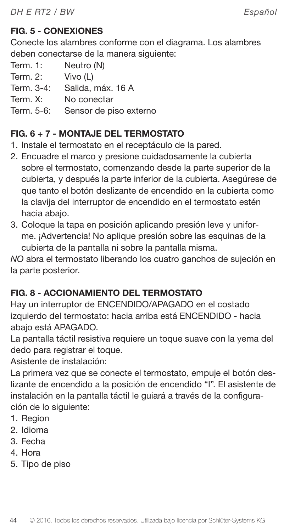# FIG. 5 - CONEXIONES

Conecte los alambres conforme con el diagrama. Los alambres deben conectarse de la manera siguiente:

- Term. 1: Neutro (N)
- Term. 2: Vivo (L)
- Term. 3-4: Salida, máx. 16 A
- Term. X: No conectar
- Term. 5-6: Sensor de piso externo

# FIG. 6 + 7 - MONTAJE DEL TERMOSTATO

- 1. Instale el termostato en el receptáculo de la pared.
- 2. Encuadre el marco y presione cuidadosamente la cubierta sobre el termostato, comenzando desde la parte superior de la cubierta, y después la parte inferior de la cubierta. Asegúrese de que tanto el botón deslizante de encendido en la cubierta como la clavija del interruptor de encendido en el termostato estén hacia abajo.
- 3. Coloque la tapa en posición aplicando presión leve y uniforme. ¡Advertencia! No aplique presión sobre las esquinas de la cubierta de la pantalla ni sobre la pantalla misma.

NO abra el termostato liberando los cuatro ganchos de sujeción en la parte posterior.

# FIG. 8 - ACCIONAMIENTO DEL TERMOSTATO

Hay un interruptor de ENCENDIDO/APAGADO en el costado izquierdo del termostato: hacia arriba está ENCENDIDO - hacia abajo está APAGADO.

La pantalla táctil resistiva requiere un toque suave con la yema del dedo para registrar el toque.

Asistente de instalación:

La primera vez que se conecte el termostato, empuje el botón deslizante de encendido a la posición de encendido "I". El asistente de instalación en la pantalla táctil le guiará a través de la configuración de lo siguiente:

- 1. Region
- 2. Idioma
- 3. Fecha
- 4. Hora
- 5. Tipo de piso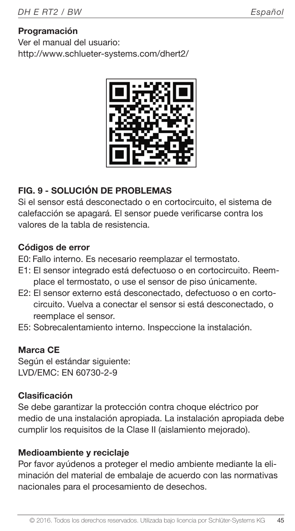#### Programación

Ver el manual del usuario: http://www.schlueter-systems.com/dhert2/



# FIG. 9 - SOLUCIÓN DE PROBLEMAS

Si el sensor está desconectado o en cortocircuito, el sistema de calefacción se apagará. El sensor puede verificarse contra los valores de la tabla de resistencia.

#### Códigos de error

E0: Fallo interno. Es necesario reemplazar el termostato.

- E1: El sensor integrado está defectuoso o en cortocircuito. Reemplace el termostato, o use el sensor de piso únicamente.
- E2: El sensor externo está desconectado, defectuoso o en cortocircuito. Vuelva a conectar el sensor si está desconectado, o reemplace el sensor.
- E5: Sobrecalentamiento interno. Inspeccione la instalación.

#### Marca CE

Según el estándar siguiente: LVD/EMC: EN 60730-2-9

#### Clasificación

Se debe garantizar la protección contra choque eléctrico por medio de una instalación apropiada. La instalación apropiada debe cumplir los requisitos de la Clase II (aislamiento mejorado).

#### Medioambiente y reciclaje

Por favor ayúdenos a proteger el medio ambiente mediante la eliminación del material de embalaje de acuerdo con las normativas nacionales para el procesamiento de desechos.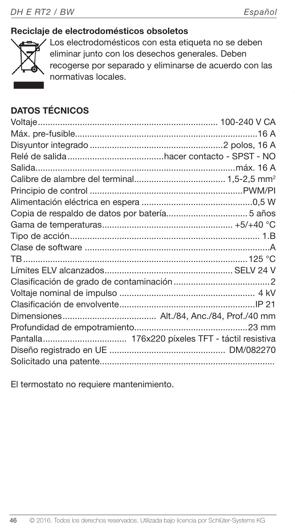# Reciclaje de electrodomésticos obsoletos



Los electrodomésticos con esta etiqueta no se deben eliminar junto con los desechos generales. Deben recogerse por separado y eliminarse de acuerdo con las normativas locales.

# DATOS TÉCNICOS

El termostato no requiere mantenimiento.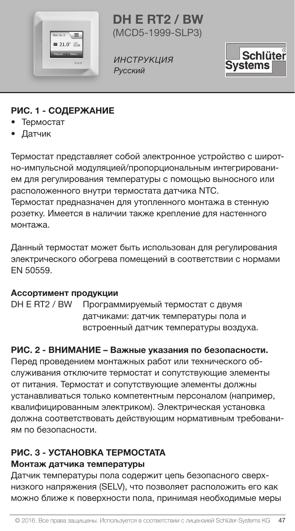

DH E RT2 / BW (MCD5-1999-SLP3)

ИНСТРУКЦИЯ Русский



# РИС. 1 - СОДЕРЖАНИЕ

- Термостат
- Датчик

Термостат представляет собой электронное устройство с широтно-импульсной модуляцией/пропорциональным интегрированием для регулирования температуры с помощью выносного или расположенного внутри термостата датчика NTC. Термостат предназначен для утопленного монтажа в стенную

розетку. Имеется в наличии также крепление для настенного монтажа.

Данный термостат может быть использован для регулирования электрического обогрева помещений в соответствии с нормами EN 50559.

#### Ассортимент продукции

DH E RT2 / BW Программируемый термостат с двумя датчиками: датчик температуры пола и встроенный датчик температуры воздуха.

# РИС. 2 - ВНИМАНИЕ – Важные указания по безопасности.

Перед проведением монтажных работ или технического обслуживания отключите термостат и сопутствующие элементы от питания. Термостат и сопутствующие элементы должны устанавливаться только компетентным персоналом (например, квалифицированным электриком). Электрическая установка должна соответствовать действующим нормативным требованиям по безопасности.

# РИС. 3 - УСТАНОВКА ТЕРМОСТАТА

#### Монтаж датчика температуры

Датчик температуры пола содержит цепь безопасного сверхнизкого напряжения (SELV), что позволяет расположить его как можно ближе к поверхности пола, принимая необходимые меры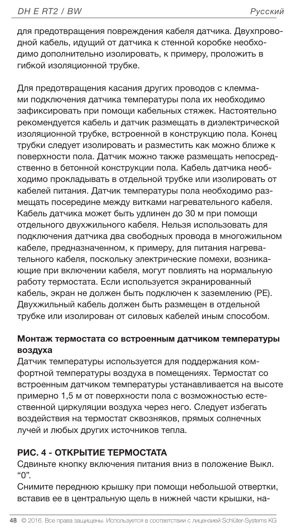для предотвращения повреждения кабеля датчика. Двухпроводной кабель, идущий от датчика к стенной коробке необходимо дополнительно изолировать, к примеру, проложить в гибкой изоляционной трубке.

Для предотвращения касания других проводов с клеммами подключения датчика температуры пола их необходимо зафиксировать при помощи кабельных стяжек. Настоятельно рекомендуется кабель и датчик размещать в диэлектрической изоляционной трубке, встроенной в конструкцию пола. Конец трубки следует изолировать и разместить как можно ближе к поверхности пола. Датчик можно также размещать непосредственно в бетонной конструкции пола. Кабель датчика необходимо прокладывать в отдельной трубке или изолировать от кабелей питания. Датчик температуры пола необходимо размещать посередине между витками нагревательного кабеля. Кабель датчика может быть удлинен до 30 м при помощи отдельного двухжильного кабеля. Нельзя использовать для подключения датчика два свободных провода в многожильном кабеле, предназначенном, к примеру, для питания нагревательного кабеля, поскольку электрические помехи, возникающие при включении кабеля, могут повлиять на нормальную работу термостата. Если используется экранированный кабель, экран не должен быть подключен к заземлению (PE). Двухжильный кабель должен быть размещен в отдельной трубке или изолирован от силовых кабелей иным способом.

#### Монтаж термостата со встроенным датчиком температуры воздуха

Датчик температуры используется для поддержания комфортной температуры воздуха в помещениях. Термостат со встроенным датчиком температуры устанавливается на высоте примерно 1,5 м от поверхности пола с возможностью естественной циркуляции воздуха через него. Следует избегать воздействия на термостат сквозняков, прямых солнечных лучей и любых других источников тепла.

# РИС. 4 - ОТКРЫТИЕ ТЕРМОСТАТА

Сдвиньте кнопку включения питания вниз в положение Выкл. "0".

Снимите переднюю крышку при помощи небольшой отвертки, вставив ее в центральную щель в нижней части крышки, на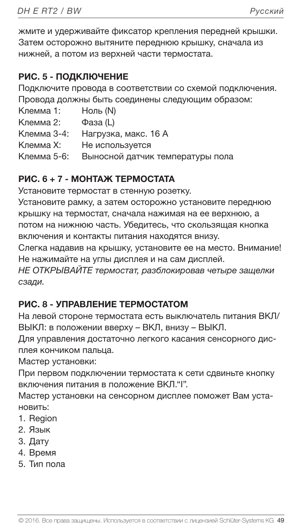жмите и удерживайте фиксатор крепления передней крышки. Затем осторожно вытяните переднюю крышку, сначала из нижней, а потом из верхней части термостата.

# РИС. 5 - ПОДКЛЮЧЕНИЕ

Подключите провода в соответствии со схемой подключения. Провода должны быть соединены следующим образом:

Клемма 1: Ноль (N)

Клемма 2: Фаза (L)

Клемма 3-4: Нагрузка, макс. 16 A

Клемма X: Не используется

Клемма 5-6: Выносной датчик температуры пола

# РИС. 6 + 7 - МОНТАЖ ТЕРМОСТАТА

Установите термостат в стенную розетку.

Установите рамку, а затем осторожно установите переднюю крышку на термостат, сначала нажимая на ее верхнюю, а потом на нижнюю часть. Убедитесь, что скользящая кнопка включения и контакты питания находятся внизу.

Слегка надавив на крышку, установите ее на место. Внимание! Не нажимайте на углы дисплея и на сам дисплей.

НЕ ОТКРЫВАЙТЕ термостат, разблокировав четыре защелки сзади.

# РИС. 8 - УПРАВЛЕНИЕ ТЕРМОСТАТОМ

На левой стороне термостата есть выключатель питания ВКЛ/ ВЫКЛ: в положении вверху – ВКЛ, внизу – ВЫКЛ.

Для управления достаточно легкого касания сенсорного дисплея кончиком пальца.

Мастер установки:

При первом подключении термостата к сети сдвиньте кнопку включения питания в положение ВКЛ."I".

Мастер установки на сенсорном дисплее поможет Вам установить:

- 1. Region
- 2. Язык
- 3. Дату
- 4. Время
- 5. Тип пола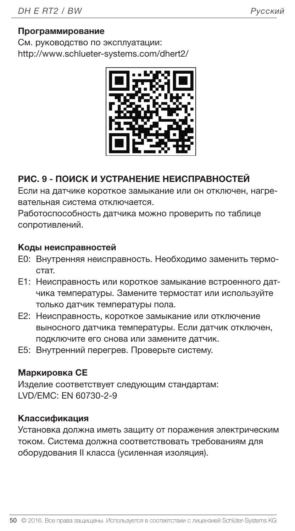#### Программирование

См. руководство по эксплуатации: http://www.schlueter-systems.com/dhert2/



#### РИС. 9 - ПОИСК И УСТРАНЕНИЕ НЕИСПРАВНОСТЕЙ

Если на датчике короткое замыкание или он отключен, нагревательная система отключается.

Работоспособность датчика можно проверить по таблице сопротивлений.

#### Коды неисправностей

- E0: Внутренняя неисправность. Необходимо заменить термостат.
- E1: Неисправность или короткое замыкание встроенного датчика температуры. Замените термостат или используйте только датчик температуры пола.
- E2: Неисправность, короткое замыкание или отключение выносного датчика температуры. Если датчик отключен, подключите его снова или замените датчик.
- E5: Внутренний перегрев. Проверьте систему.

#### Маркировка CE

Изделие соответствует следующим стандартам: LVD/EMC: EN 60730-2-9

#### Классификация

Установка должна иметь защиту от поражения электрическим током. Система должна соответствовать требованиям для оборудования II класса (усиленная изоляция).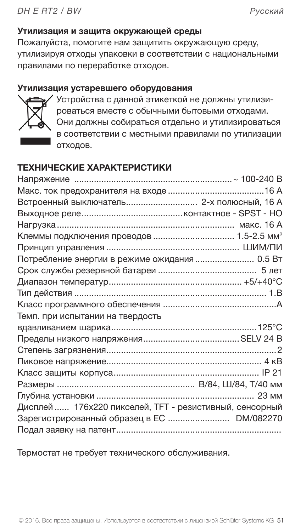#### Утилизация и защита окружающей среды

Пожалуйста, помогите нам защитить окружающую среду, утилизируя отходы упаковки в соответствии с национальными правилами по переработке отходов.

#### Утилизация устаревшего оборудования



Устройства с данной этикеткой не должны утилизироваться вместе с обычными бытовыми отходами. Они должны собираться отдельно и утилизироваться в соответствии с местными правилами по утилизации отходов.

#### ТЕХНИЧЕСКИЕ ХАРАКТЕРИСТИКИ

| Встроенный выключатель 2-х полюсный, 16 А               |  |
|---------------------------------------------------------|--|
|                                                         |  |
|                                                         |  |
|                                                         |  |
|                                                         |  |
| Потребление энергии в режиме ожидания 0.5 Вт            |  |
|                                                         |  |
|                                                         |  |
|                                                         |  |
|                                                         |  |
| Темп. при испытании на твердость                        |  |
|                                                         |  |
|                                                         |  |
|                                                         |  |
|                                                         |  |
|                                                         |  |
|                                                         |  |
|                                                         |  |
| Дисплей  176х220 пикселей, ТFT - резистивный, сенсорный |  |
| Зарегистрированный образец в ЕС  DM/082270              |  |
|                                                         |  |

Термостат не требует технического обслуживания.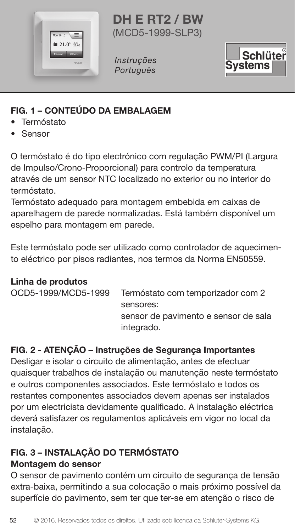

DH E RT2 / BW (MCD5-1999-SLP3)

Instruções Português



# FIG. 1 – CONTEÚDO DA EMBALAGEM

- Termóstato
- Sensor

O termóstato é do tipo electrónico com regulação PWM/PI (Largura de Impulso/Crono-Proporcional) para controlo da temperatura através de um sensor NTC localizado no exterior ou no interior do termóstato.

Termóstato adequado para montagem embebida em caixas de aparelhagem de parede normalizadas. Está também disponível um espelho para montagem em parede.

Este termóstato pode ser utilizado como controlador de aquecimento eléctrico por pisos radiantes, nos termos da Norma EN50559.

# Linha de produtos

| OCD5-1999/MCD5-1999 | Termóstato com temporizador com 2    |
|---------------------|--------------------------------------|
|                     | sensores:                            |
|                     | sensor de pavimento e sensor de sala |
|                     | integrado.                           |
|                     |                                      |

# FIG. 2 - ATENÇÃO – Instruções de Segurança Importantes

Desligar e isolar o circuito de alimentação, antes de efectuar quaisquer trabalhos de instalação ou manutenção neste termóstato e outros componentes associados. Este termóstato e todos os restantes componentes associados devem apenas ser instalados por um electricista devidamente qualificado. A instalação eléctrica deverá satisfazer os regulamentos aplicáveis em vigor no local da instalação.

# FIG. 3 – INSTALAÇÃO DO TERMÓSTATO

# Montagem do sensor

52

O sensor de pavimento contém um circuito de segurança de tensão extra-baixa, permitindo a sua colocação o mais próximo possível da superfície do pavimento, sem ter que ter-se em atenção o risco de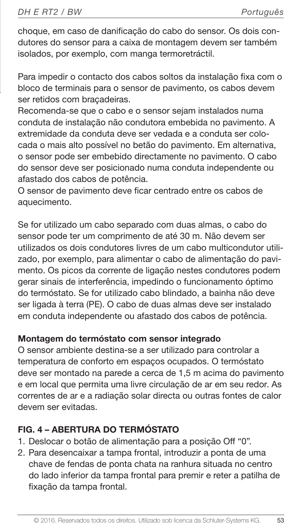choque, em caso de danificação do cabo do sensor. Os dois condutores do sensor para a caixa de montagem devem ser também isolados, por exemplo, com manga termoretráctil.

- Para impedir o contacto dos cabos soltos da instalação fixa com o bloco de terminais para o sensor de pavimento, os cabos devem ser retidos com braçadeiras.
	- Recomenda-se que o cabo e o sensor sejam instalados numa conduta de instalação não condutora embebida no pavimento. A extremidade da conduta deve ser vedada e a conduta ser colocada o mais alto possível no betão do pavimento. Em alternativa, o sensor pode ser embebido directamente no pavimento. O cabo do sensor deve ser posicionado numa conduta independente ou afastado dos cabos de potência.
	- O sensor de pavimento deve ficar centrado entre os cabos de aquecimento.

Se for utilizado um cabo separado com duas almas, o cabo do sensor pode ter um comprimento de até 30 m. Não devem ser utilizados os dois condutores livres de um cabo multicondutor utilizado, por exemplo, para alimentar o cabo de alimentação do pavimento. Os picos da corrente de ligação nestes condutores podem gerar sinais de interferência, impedindo o funcionamento óptimo do termóstato. Se for utilizado cabo blindado, a bainha não deve ser ligada à terra (PE). O cabo de duas almas deve ser instalado em conduta independente ou afastado dos cabos de potência.

# Montagem do termóstato com sensor integrado

O sensor ambiente destina-se a ser utilizado para controlar a temperatura de conforto em espaços ocupados. O termóstato deve ser montado na parede a cerca de 1,5 m acima do pavimento e em local que permita uma livre circulação de ar em seu redor. As correntes de ar e a radiação solar directa ou outras fontes de calor devem ser evitadas.

# FIG. 4 – ABERTURA DO TERMÓSTATO

- 1. Deslocar o botão de alimentação para a posição Off "0".
- 2. Para desencaixar a tampa frontal, introduzir a ponta de uma chave de fendas de ponta chata na ranhura situada no centro do lado inferior da tampa frontal para premir e reter a patilha de fixação da tampa frontal.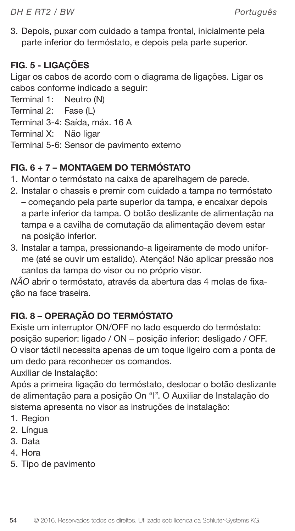3. Depois, puxar com cuidado a tampa frontal, inicialmente pela parte inferior do termóstato, e depois pela parte superior.

# FIG. 5 - LIGAÇÕES

Ligar os cabos de acordo com o diagrama de ligações. Ligar os cabos conforme indicado a seguir:

Terminal 1: Neutro (N)

Terminal 2: Fase (L)

Terminal 3-4: Saída, máx. 16 A

Terminal X: Não ligar

Terminal 5-6: Sensor de pavimento externo

# FIG. 6 + 7 – MONTAGEM DO TERMÓSTATO

- 1. Montar o termóstato na caixa de aparelhagem de parede.
- 2. Instalar o chassis e premir com cuidado a tampa no termóstato – começando pela parte superior da tampa, e encaixar depois a parte inferior da tampa. O botão deslizante de alimentação na tampa e a cavilha de comutação da alimentação devem estar na posição inferior.
- 3. Instalar a tampa, pressionando-a ligeiramente de modo uniforme (até se ouvir um estalido). Atenção! Não aplicar pressão nos cantos da tampa do visor ou no próprio visor.

NÃO abrir o termóstato, através da abertura das 4 molas de fixação na face traseira.

# FIG. 8 – OPERAÇÃO DO TERMÓSTATO

Existe um interruptor ON/OFF no lado esquerdo do termóstato: posição superior: ligado / ON – posição inferior: desligado / OFF. O visor táctil necessita apenas de um toque ligeiro com a ponta de um dedo para reconhecer os comandos.

Auxiliar de Instalação:

Após a primeira ligação do termóstato, deslocar o botão deslizante de alimentação para a posição On "I". O Auxiliar de Instalação do sistema apresenta no visor as instruções de instalação:

- 1. Region
- 2. Língua
- 3. Data
- 4. Hora
- 5. Tipo de pavimento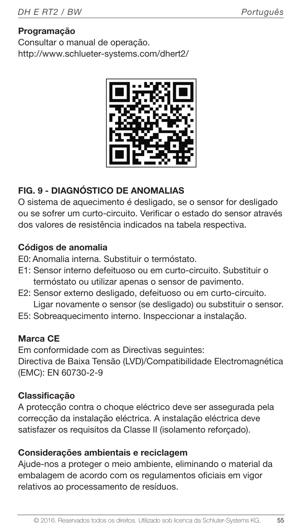# Programação

Consultar o manual de operação. http://www.schlueter-systems.com/dhert2/



# FIG. 9 - DIAGNÓSTICO DE ANOMALIAS

O sistema de aquecimento é desligado, se o sensor for desligado ou se sofrer um curto-circuito. Verificar o estado do sensor através dos valores de resistência indicados na tabela respectiva.

#### Códigos de anomalia

E0: Anomalia interna. Substituir o termóstato.

- E1: Sensor interno defeituoso ou em curto-circuito. Substituir o termóstato ou utilizar apenas o sensor de pavimento.
- E2: Sensor externo desligado, defeituoso ou em curto-circuito. Ligar novamente o sensor (se desligado) ou substituir o sensor.
- E5: Sobreaquecimento interno. Inspeccionar a instalação.

#### Marca CE

Em conformidade com as Directivas seguintes: Directiva de Baixa Tensão (LVD)/Compatibilidade Electromagnética (EMC): EN 60730-2-9

# Classificação

A protecção contra o choque eléctrico deve ser assegurada pela correcção da instalação eléctrica. A instalação eléctrica deve satisfazer os requisitos da Classe II (isolamento reforçado).

#### Considerações ambientais e reciclagem

Ajude-nos a proteger o meio ambiente, eliminando o material da embalagem de acordo com os regulamentos oficiais em vigor relativos ao processamento de resíduos.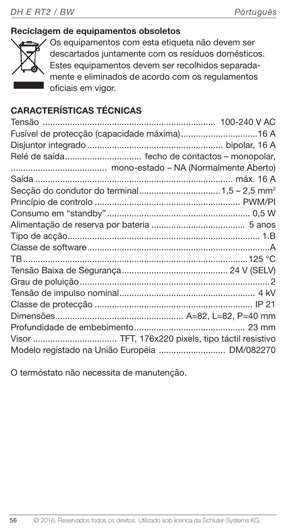# Reciclagem de equipamentos obsoletos



Os equipamentos com esta etiqueta não devem ser descartados juntamente com os resíduos domésticos. Estes equipamentos devem ser recolhidos separadamente e eliminados de acordo com os regulamentos oficiais em vigor.

# CARACTERÍSTICAS TÉCNICAS

| Fusível de protecção (capacidade máxima)16 A      |
|---------------------------------------------------|
|                                                   |
| Relé de saída fecho de contactos - monopolar,     |
|                                                   |
|                                                   |
|                                                   |
|                                                   |
|                                                   |
|                                                   |
|                                                   |
|                                                   |
|                                                   |
|                                                   |
|                                                   |
|                                                   |
|                                                   |
|                                                   |
|                                                   |
| Visor  TFT, 176x220 pixels, tipo táctil resistivo |
| Modelo registado na União Europeia  DM/082270     |

O termóstato não necessita de manutenção.